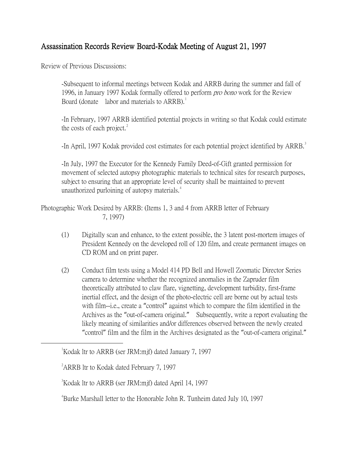## Assassination Records Review Board-Kodak Meeting of August 21, 1997

Review of Previous Discussions:

-Subsequent to informal meetings between Kodak and ARRB during the summer and fall of 1996, in January 1997 Kodak formally offered to perform *pro bono* work for the Review Board (donate labor and materials to  $ARRB$ ).<sup>[1](#page-0-0)</sup>

-In February, 1997 ARRB identified potential projects in writing so that Kodak could estimate the costs of each project. $2$ 

-In April, 1997 Kodak provided cost estimates for each potential project identified by ARRB.<sup>[3](#page-0-2)</sup>

-In July, 1997 the Executor for the Kennedy Family Deed-of-Gift granted permission for movement of selected autopsy photographic materials to technical sites for research purposes, subject to ensuring that an appropriate level of security shall be maintained to prevent unauthorized purloining of autopsy materials.<sup>[4](#page-0-3)</sup>

Photographic Work Desired by ARRB: (Items 1, 3 and 4 from ARRB letter of February 7, 1997)

- (1) Digitally scan and enhance, to the extent possible, the 3 latent post-mortem images of President Kennedy on the developed roll of 120 film, and create permanent images on CD ROM and on print paper.
- (2) Conduct film tests using a Model 414 PD Bell and Howell Zoomatic Director Series camera to determine whether the recognized anomalies in the Zapruder film theoretically attributed to claw flare, vignetting, development turbidity, first-frame inertial effect, and the design of the photo-electric cell are borne out by actual tests with film--i.e., create a "control" against which to compare the film identified in the Archives as the "out-of-camera original." Subsequently, write a report evaluating the likely meaning of similarities and/or differences observed between the newly created "control" film and the film in the Archives designated as the "out-of-camera original."

<span id="page-0-2"></span><span id="page-0-1"></span><span id="page-0-0"></span> $\overline{\phantom{a}}$ <sup>1</sup>Kodak ltr to ARRB (ser JRM:mif) dated January 7, 1997

<sup>&</sup>lt;sup>2</sup> ARRB ltr to Kodak dated February 7, 1997

<sup>3</sup> Kodak ltr to ARRB (ser JRM:mjf) dated April 14, 1997

<span id="page-0-3"></span><sup>4</sup> Burke Marshall letter to the Honorable John R. Tunheim dated July 10, 1997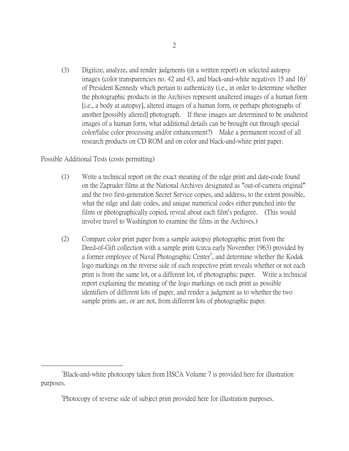(3) Digitize, analyze, and render judgments (in a written report) on selected autopsy images (color transparencies no. 42 and 43, and black-and-white negatives 1[5](#page-1-0) and  $16$ )<sup>5</sup> of President Kennedy which pertain to authenticity (i.e., in order to determine whether the photographic products in the Archives represent unaltered images of a human form [i.e., a body at autopsy], altered images of a human form, or perhaps photographs of another [possibly altered] photograph. If these images are determined to be unaltered images of a human form, what additional details can be brought out through special color/false color processing and/or enhancement?) Make a permanent record of all research products on CD ROM and on color and black-and-white print paper.

## Possible Additional Tests (costs permitting)

- (1) Write a technical report on the exact meaning of the edge print and date-code found on the Zapruder films at the National Archives designated as "out-of-camera original" and the two first-generation Secret Service copies, and address, to the extent possible, what the edge and date codes, and unique numerical codes either punched into the films or photographically copied, reveal about each film's pedigree. (This would involve travel to Washington to examine the films in the Archives.)
- (2) Compare color print paper from a sample autopsy photographic print from the Deed-of-Gift collection with a sample print (circa early November 1963) provided by a former employee of Naval Photographic Center<sup>[6](#page-1-1)</sup>, and determine whether the Kodak logo markings on the reverse side of each respective print reveals whether or not each print is from the same lot, or a different lot, of photographic paper. Write a technical report explaining the meaning of the logo markings on each print as possible identifiers of different lots of paper, and render a judgment as to whether the two sample prints are, or are not, from different lots of photographic paper.

<span id="page-1-1"></span><span id="page-1-0"></span> $\frac{1}{5}$ Black-and-white photocopy taken from HSCA Volume 7 is provided here for illustration purposes.

<sup>6</sup> Photocopy of reverse side of subject print provided here for illustration purposes.